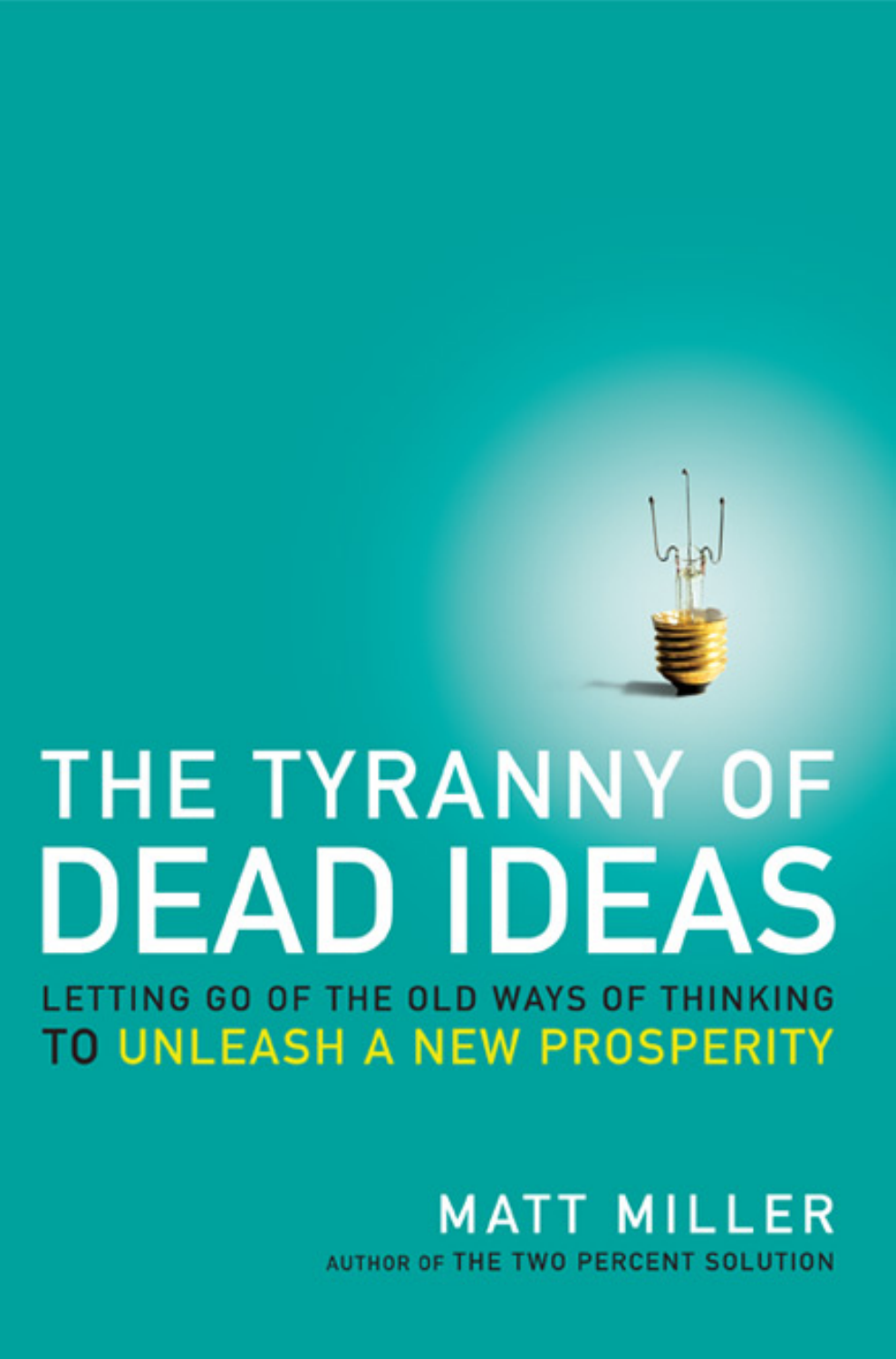# **THE TYRANNY OF DEAD IDEAS** LETTING GO OF THE OLD WAYS OF THINKING

**TO UNLEASH A NEW PROSPERITY** 

**MATT MILLER** AUTHOR OF THE TWO PERCENT SOLUTION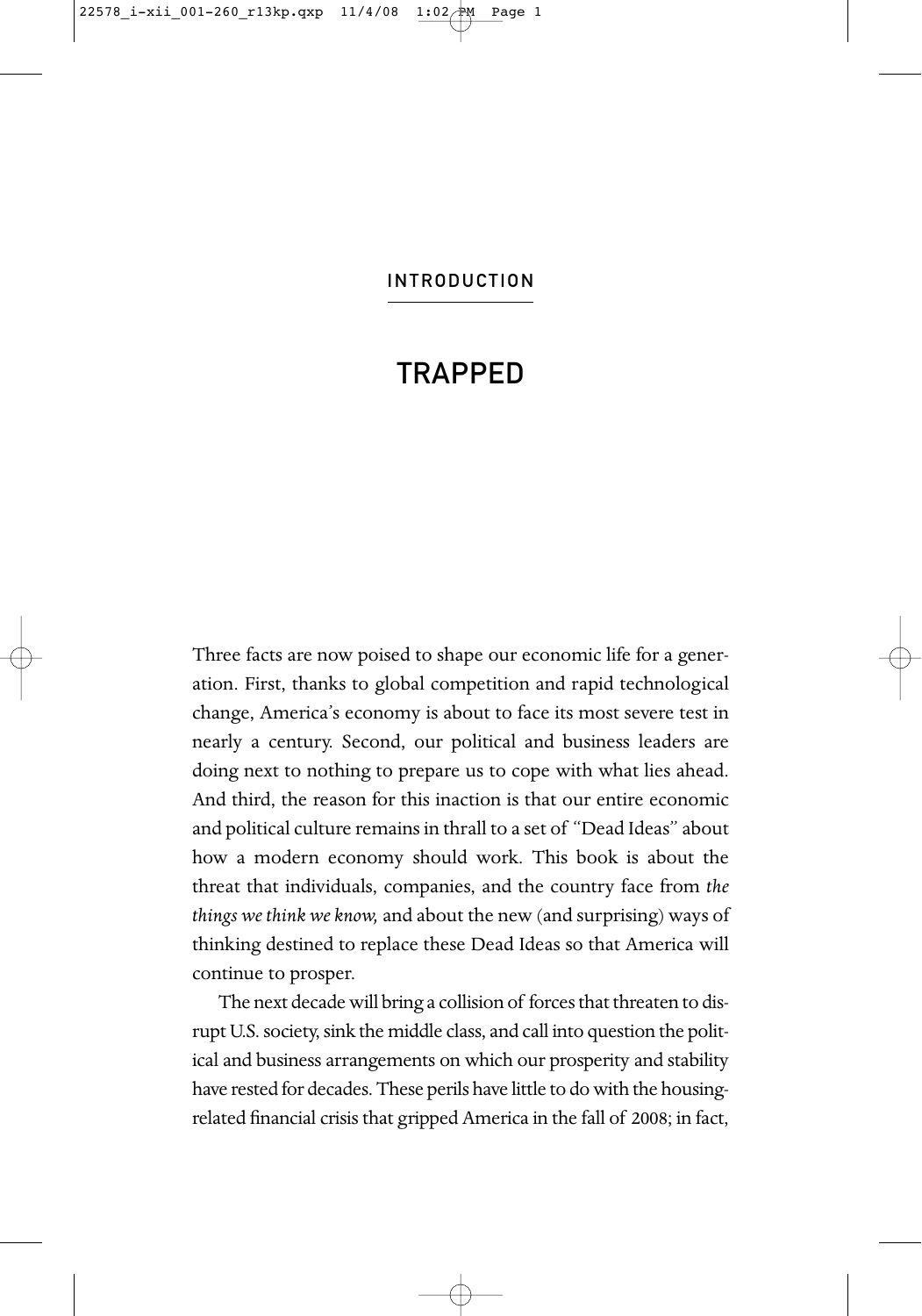#### INTRODUCTION

## TRAPPED

Three facts are now poised to shape our economic life for a generation. First, thanks to global competition and rapid technological change, America's economy is about to face its most severe test in nearly a century. Second, our political and business leaders are doing next to nothing to prepare us to cope with what lies ahead. And third, the reason for this inaction is that our entire economic and political culture remains in thrall to a set of "Dead Ideas" about how a modern economy should work. This book is about the threat that individuals, companies, and the country face from *the things we think we know,* and about the new (and surprising) ways of thinking destined to replace these Dead Ideas so that America will continue to prosper.

The next decade will bring a collision of forces that threaten to disrupt U.S. society, sink the middle class, and call into question the political and business arrangements on which our prosperity and stability have rested for decades. These perils have little to do with the housingrelated financial crisis that gripped America in the fall of 2008; in fact,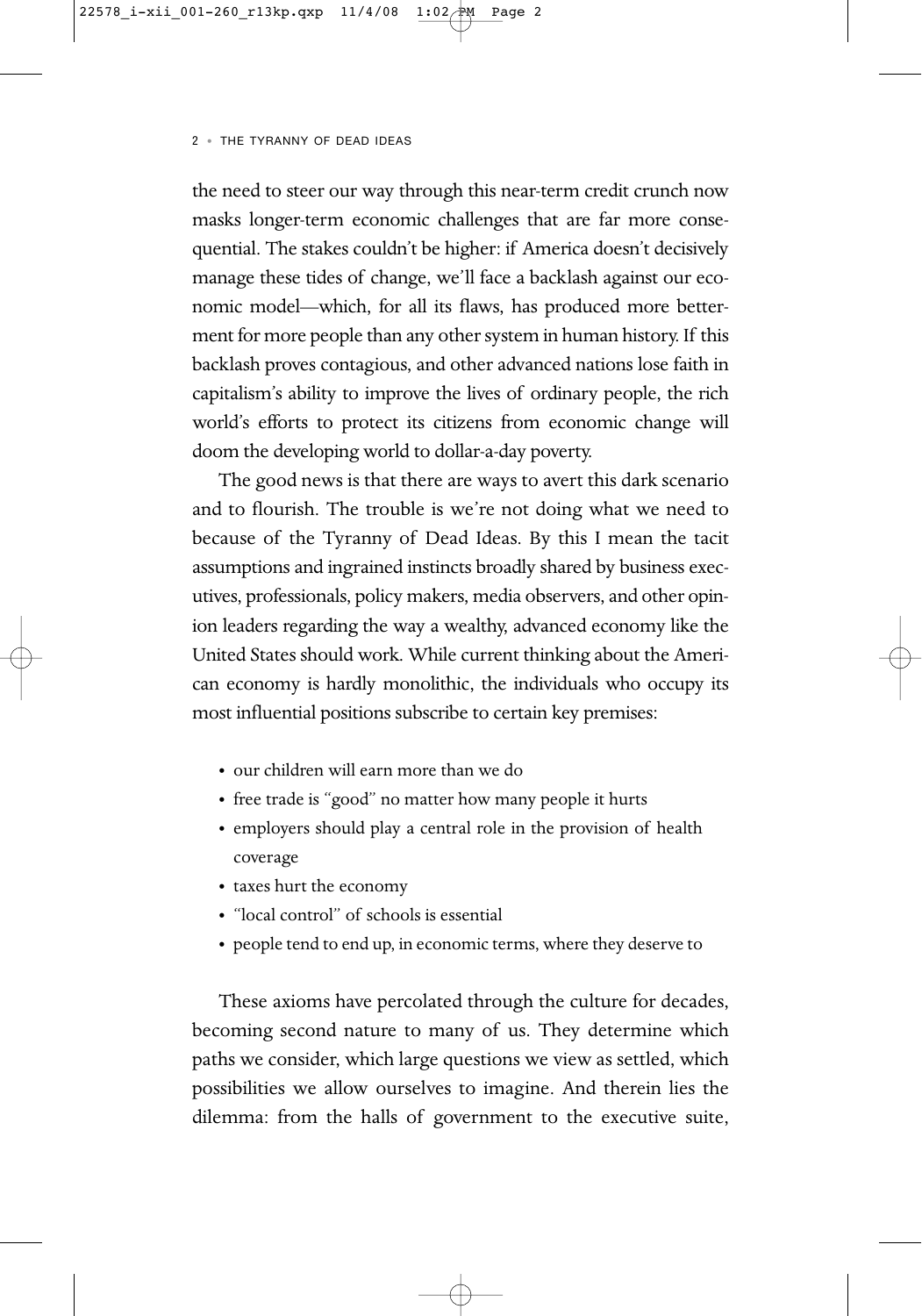the need to steer our way through this near-term credit crunch now masks longer-term economic challenges that are far more consequential. The stakes couldn't be higher: if America doesn't decisively manage these tides of change, we'll face a backlash against our economic model—which, for all its flaws, has produced more betterment for more people than any other system in human history. If this backlash proves contagious, and other advanced nations lose faith in capitalism's ability to improve the lives of ordinary people, the rich world's efforts to protect its citizens from economic change will doom the developing world to dollar-a-day poverty.

The good news is that there are ways to avert this dark scenario and to flourish. The trouble is we're not doing what we need to because of the Tyranny of Dead Ideas. By this I mean the tacit assumptions and ingrained instincts broadly shared by business executives, professionals, policy makers, media observers, and other opinion leaders regarding the way a wealthy, advanced economy like the United States should work. While current thinking about the American economy is hardly monolithic, the individuals who occupy its most influential positions subscribe to certain key premises:

- our children will earn more than we do
- free trade is "good" no matter how many people it hurts
- employers should play a central role in the provision of health coverage
- taxes hurt the economy
- "local control" of schools is essential
- people tend to end up, in economic terms, where they deserve to

These axioms have percolated through the culture for decades, becoming second nature to many of us. They determine which paths we consider, which large questions we view as settled, which possibilities we allow ourselves to imagine. And therein lies the dilemma: from the halls of government to the executive suite,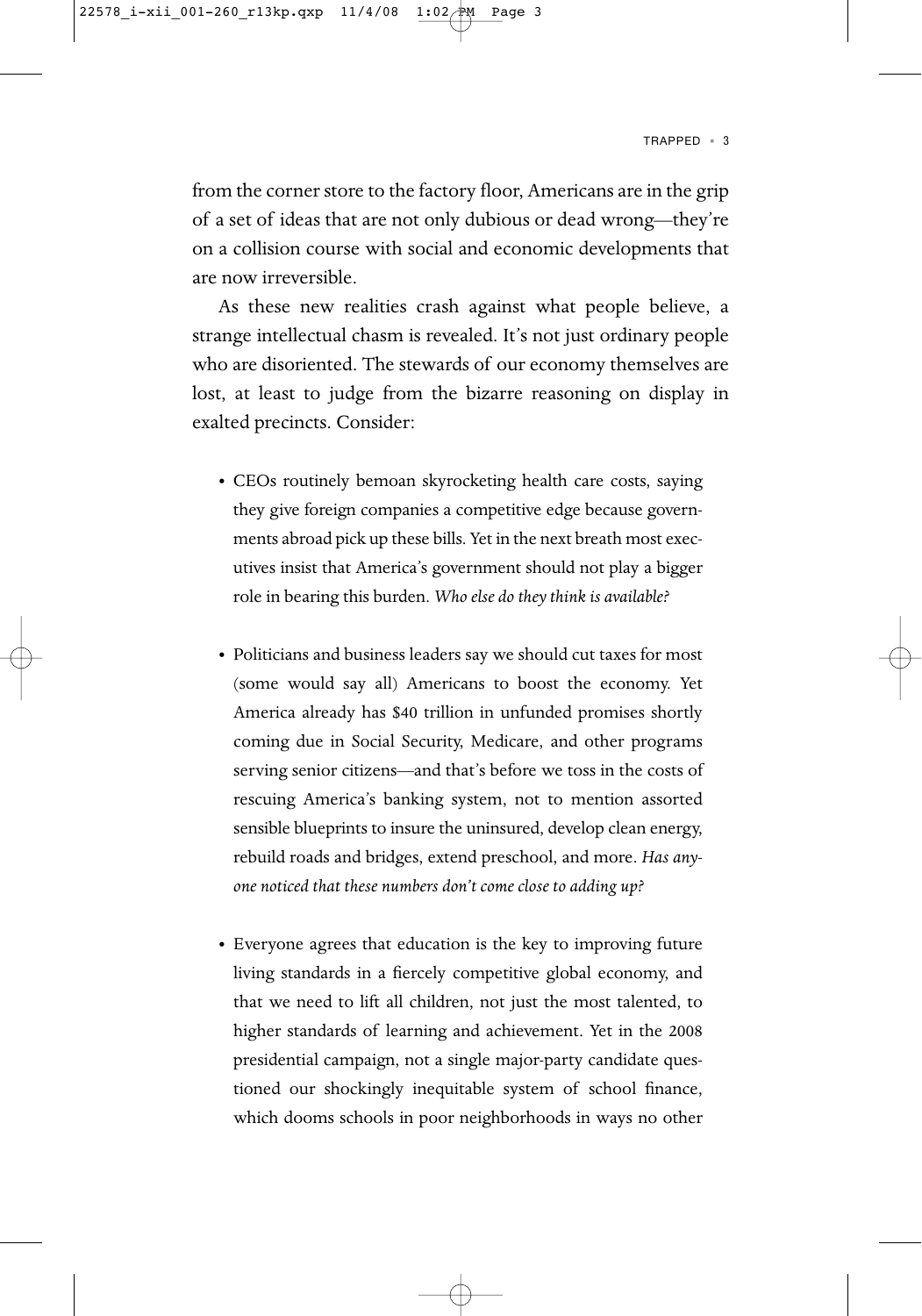from the corner store to the factory floor, Americans are in the grip of a set of ideas that are not only dubious or dead wrong—they're on a collision course with social and economic developments that are now irreversible.

As these new realities crash against what people believe, a strange intellectual chasm is revealed. It's not just ordinary people who are disoriented. The stewards of our economy themselves are lost, at least to judge from the bizarre reasoning on display in exalted precincts. Consider:

- CEOs routinely bemoan skyrocketing health care costs, saying they give foreign companies a competitive edge because governments abroad pick up these bills. Yet in the next breath most executives insist that America's government should not play a bigger role in bearing this burden. *Who else do they think is available?*
- Politicians and business leaders say we should cut taxes for most (some would say all) Americans to boost the economy. Yet America already has \$40 trillion in unfunded promises shortly coming due in Social Security, Medicare, and other programs serving senior citizens—and that's before we toss in the costs of rescuing America's banking system, not to mention assorted sensible blueprints to insure the uninsured, develop clean energy, rebuild roads and bridges, extend preschool, and more. *Has anyone noticed that these numbers don't come close to adding up?*
- Everyone agrees that education is the key to improving future living standards in a fiercely competitive global economy, and that we need to lift all children, not just the most talented, to higher standards of learning and achievement. Yet in the 2008 presidential campaign, not a single major-party candidate questioned our shockingly inequitable system of school finance, which dooms schools in poor neighborhoods in ways no other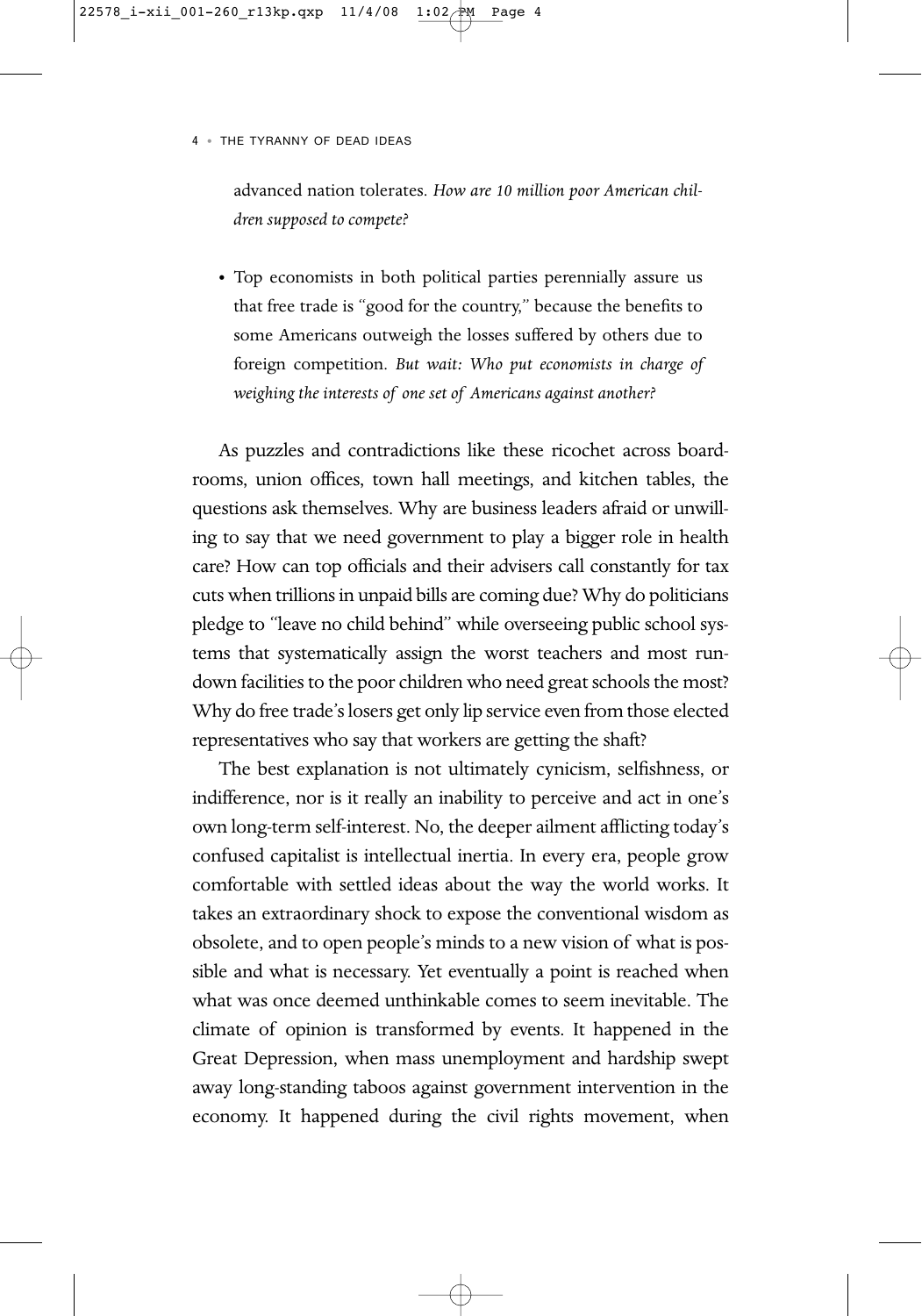advanced nation tolerates. *How are 10 million poor American children supposed to compete?*

• Top economists in both political parties perennially assure us that free trade is "good for the country," because the benefits to some Americans outweigh the losses suffered by others due to foreign competition. *But wait: Who put economists in charge of weighing the interests of one set of Americans against another?*

As puzzles and contradictions like these ricochet across boardrooms, union offices, town hall meetings, and kitchen tables, the questions ask themselves. Why are business leaders afraid or unwilling to say that we need government to play a bigger role in health care? How can top officials and their advisers call constantly for tax cuts when trillions in unpaid bills are coming due? Why do politicians pledge to "leave no child behind" while overseeing public school systems that systematically assign the worst teachers and most rundown facilities to the poor children who need great schools the most? Why do free trade's losers get only lip service even from those elected representatives who say that workers are getting the shaft?

The best explanation is not ultimately cynicism, selfishness, or indifference, nor is it really an inability to perceive and act in one's own long-term self-interest. No, the deeper ailment afflicting today's confused capitalist is intellectual inertia. In every era, people grow comfortable with settled ideas about the way the world works. It takes an extraordinary shock to expose the conventional wisdom as obsolete, and to open people's minds to a new vision of what is possible and what is necessary. Yet eventually a point is reached when what was once deemed unthinkable comes to seem inevitable. The climate of opinion is transformed by events. It happened in the Great Depression, when mass unemployment and hardship swept away long-standing taboos against government intervention in the economy. It happened during the civil rights movement, when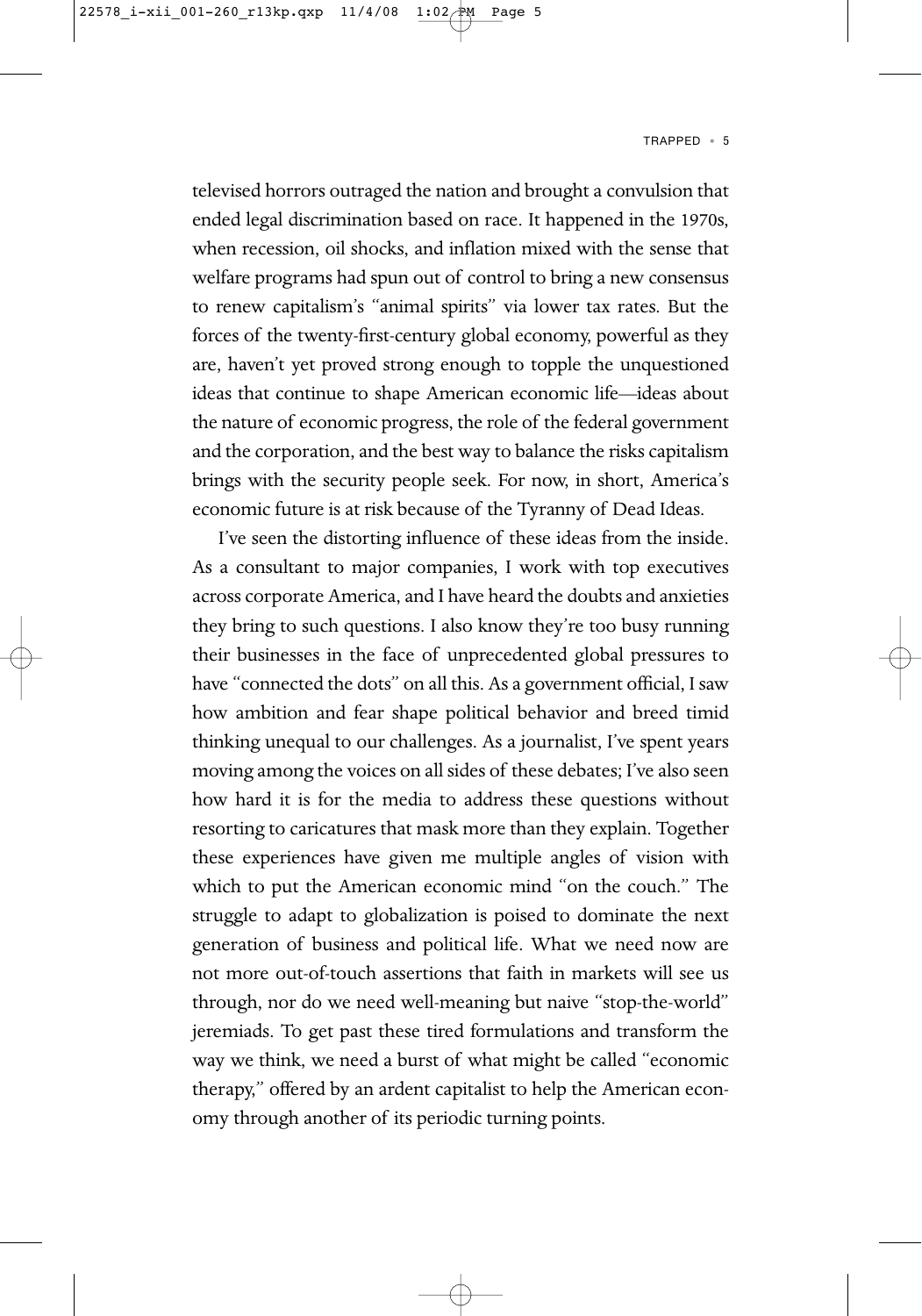televised horrors outraged the nation and brought a convulsion that ended legal discrimination based on race. It happened in the 1970s, when recession, oil shocks, and inflation mixed with the sense that welfare programs had spun out of control to bring a new consensus to renew capitalism's "animal spirits" via lower tax rates. But the forces of the twenty-first-century global economy, powerful as they are, haven't yet proved strong enough to topple the unquestioned ideas that continue to shape American economic life—ideas about the nature of economic progress, the role of the federal government and the corporation, and the best way to balance the risks capitalism brings with the security people seek. For now, in short, America's economic future is at risk because of the Tyranny of Dead Ideas.

I've seen the distorting influence of these ideas from the inside. As a consultant to major companies, I work with top executives across corporate America, and I have heard the doubts and anxieties they bring to such questions. I also know they're too busy running their businesses in the face of unprecedented global pressures to have "connected the dots" on all this. As a government official, I saw how ambition and fear shape political behavior and breed timid thinking unequal to our challenges. As a journalist, I've spent years moving among the voices on all sides of these debates; I've also seen how hard it is for the media to address these questions without resorting to caricatures that mask more than they explain. Together these experiences have given me multiple angles of vision with which to put the American economic mind "on the couch." The struggle to adapt to globalization is poised to dominate the next generation of business and political life. What we need now are not more out-of-touch assertions that faith in markets will see us through, nor do we need well-meaning but naive "stop-the-world" jeremiads. To get past these tired formulations and transform the way we think, we need a burst of what might be called "economic therapy," offered by an ardent capitalist to help the American economy through another of its periodic turning points.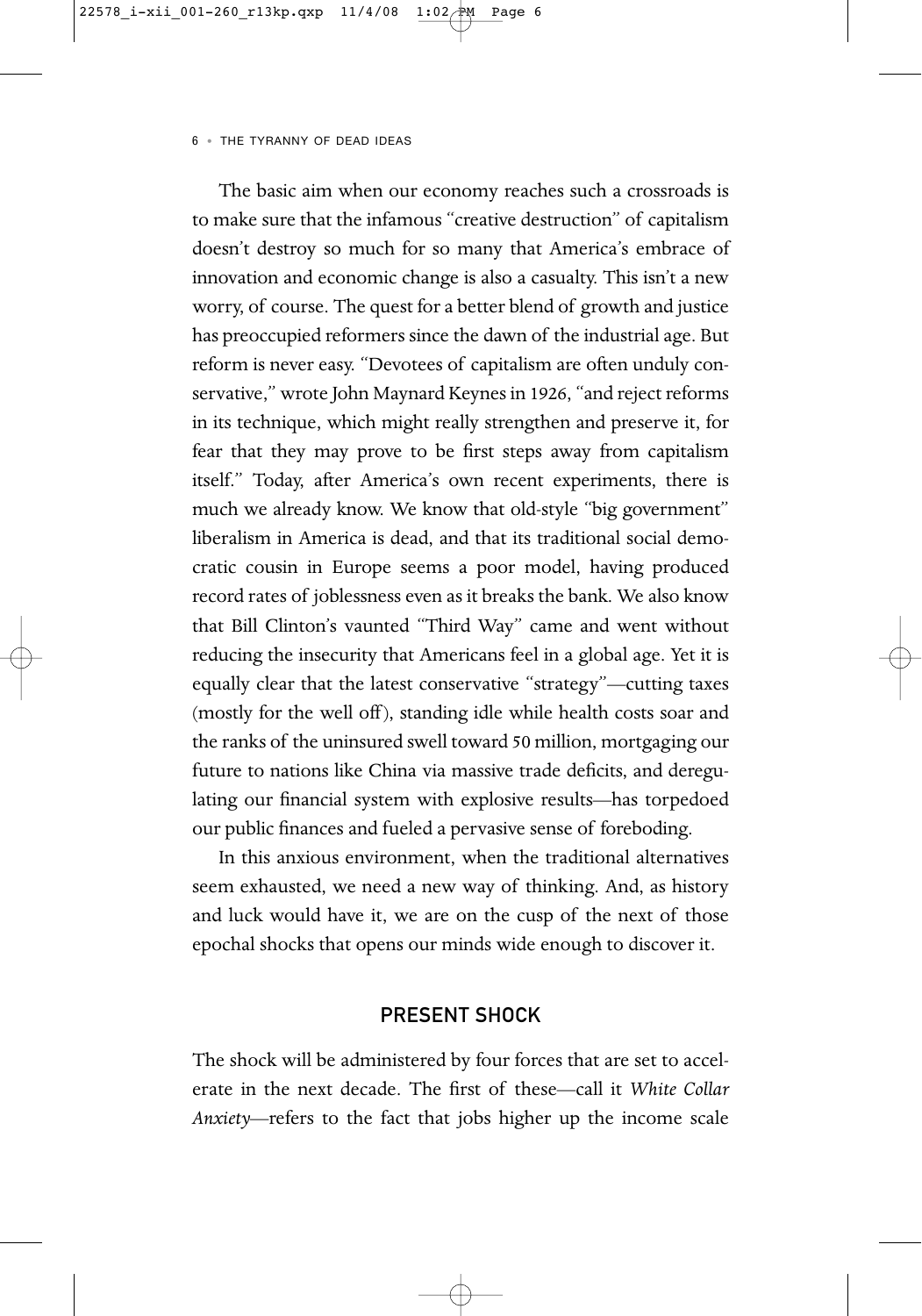The basic aim when our economy reaches such a crossroads is to make sure that the infamous "creative destruction" of capitalism doesn't destroy so much for so many that America's embrace of innovation and economic change is also a casualty. This isn't a new worry, of course. The quest for a better blend of growth and justice has preoccupied reformers since the dawn of the industrial age. But reform is never easy. "Devotees of capitalism are often unduly conservative," wrote John Maynard Keynes in 1926, "and reject reforms in its technique, which might really strengthen and preserve it, for fear that they may prove to be first steps away from capitalism itself." Today, after America's own recent experiments, there is much we already know. We know that old-style "big government" liberalism in America is dead, and that its traditional social democratic cousin in Europe seems a poor model, having produced record rates of joblessness even as it breaks the bank. We also know that Bill Clinton's vaunted "Third Way" came and went without reducing the insecurity that Americans feel in a global age. Yet it is equally clear that the latest conservative "strategy"—cutting taxes (mostly for the well off ), standing idle while health costs soar and the ranks of the uninsured swell toward 50 million, mortgaging our future to nations like China via massive trade deficits, and deregulating our financial system with explosive results—has torpedoed our public finances and fueled a pervasive sense of foreboding.

In this anxious environment, when the traditional alternatives seem exhausted, we need a new way of thinking. And, as history and luck would have it, we are on the cusp of the next of those epochal shocks that opens our minds wide enough to discover it.

### PRESENT SHOCK

The shock will be administered by four forces that are set to accelerate in the next decade. The first of these—call it *White Collar Anxiety*—refers to the fact that jobs higher up the income scale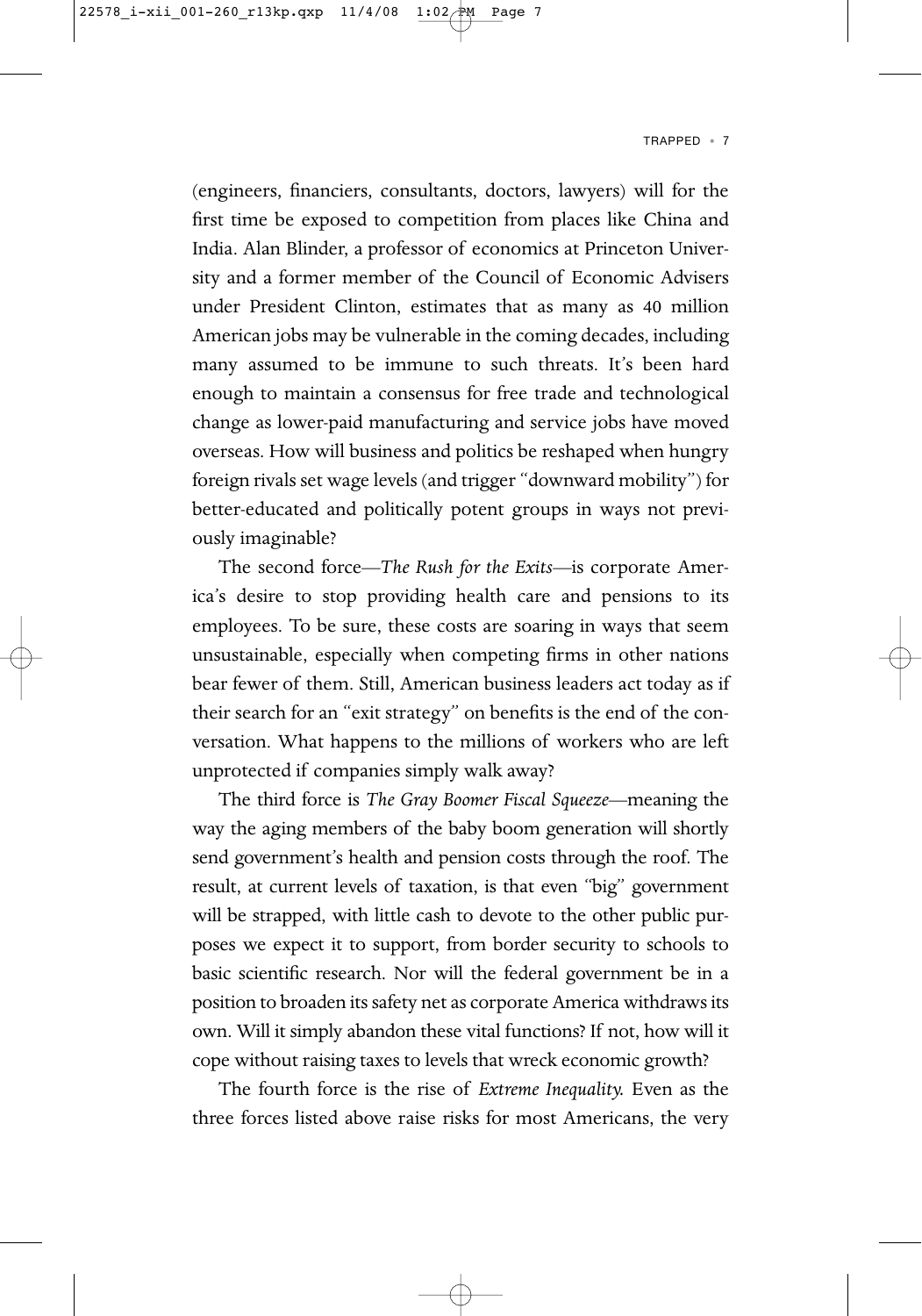(engineers, financiers, consultants, doctors, lawyers) will for the first time be exposed to competition from places like China and India. Alan Blinder, a professor of economics at Princeton University and a former member of the Council of Economic Advisers under President Clinton, estimates that as many as 40 million American jobs may be vulnerable in the coming decades, including many assumed to be immune to such threats. It's been hard enough to maintain a consensus for free trade and technological change as lower-paid manufacturing and service jobs have moved overseas. How will business and politics be reshaped when hungry foreign rivals set wage levels (and trigger "downward mobility") for better-educated and politically potent groups in ways not previously imaginable?

The second force—*The Rush for the Exits*—is corporate America's desire to stop providing health care and pensions to its employees. To be sure, these costs are soaring in ways that seem unsustainable, especially when competing firms in other nations bear fewer of them. Still, American business leaders act today as if their search for an "exit strategy" on benefits is the end of the conversation. What happens to the millions of workers who are left unprotected if companies simply walk away?

The third force is *The Gray Boomer Fiscal Squeeze*—meaning the way the aging members of the baby boom generation will shortly send government's health and pension costs through the roof. The result, at current levels of taxation, is that even "big" government will be strapped, with little cash to devote to the other public purposes we expect it to support, from border security to schools to basic scientific research. Nor will the federal government be in a position to broaden its safety net as corporate America withdraws its own. Will it simply abandon these vital functions? If not, how will it cope without raising taxes to levels that wreck economic growth?

The fourth force is the rise of *Extreme Inequality.* Even as the three forces listed above raise risks for most Americans, the very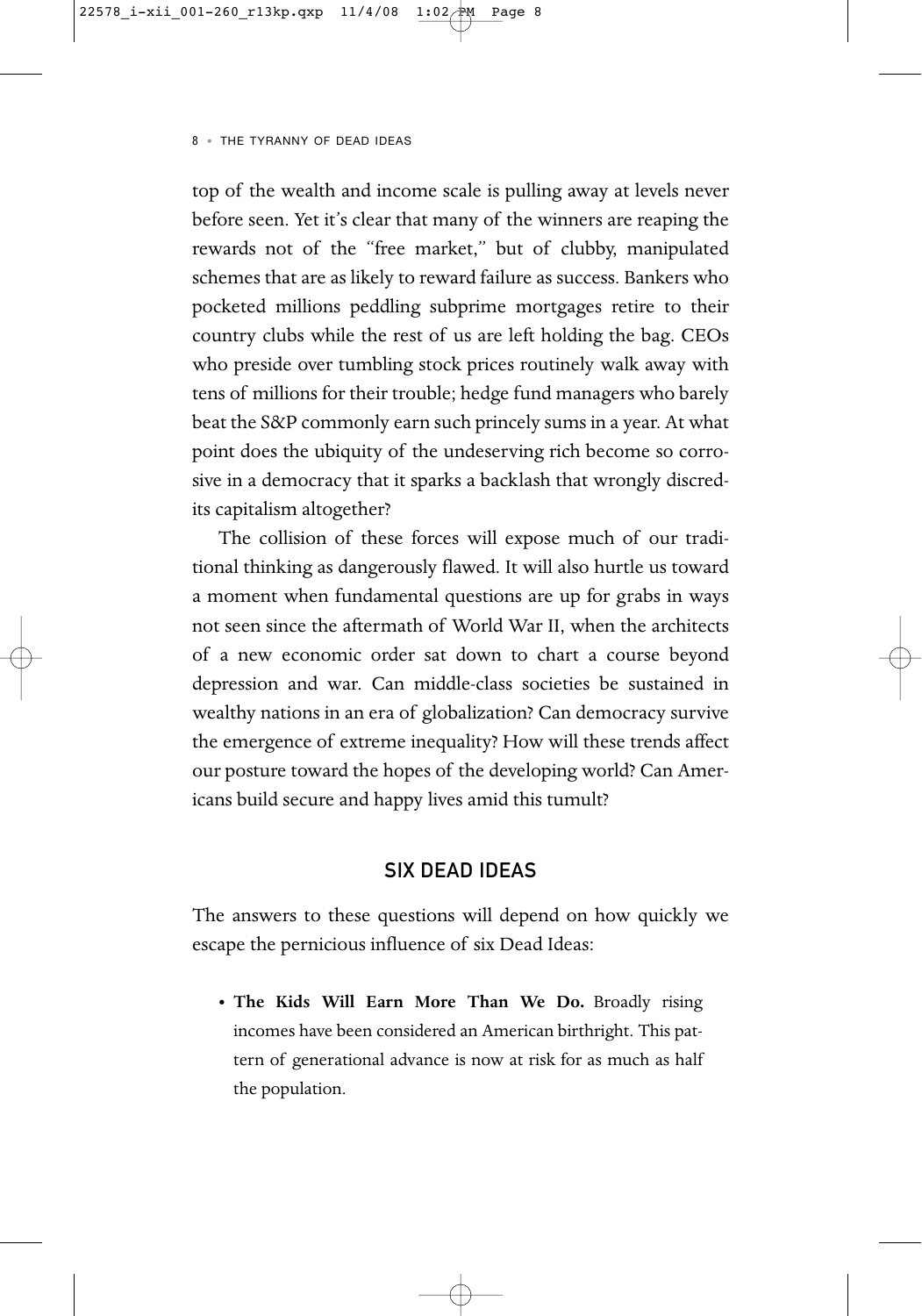top of the wealth and income scale is pulling away at levels never before seen. Yet it's clear that many of the winners are reaping the rewards not of the "free market," but of clubby, manipulated schemes that are as likely to reward failure as success. Bankers who pocketed millions peddling subprime mortgages retire to their country clubs while the rest of us are left holding the bag. CEOs who preside over tumbling stock prices routinely walk away with tens of millions for their trouble; hedge fund managers who barely beat the S&P commonly earn such princely sums in a year. At what point does the ubiquity of the undeserving rich become so corrosive in a democracy that it sparks a backlash that wrongly discredits capitalism altogether?

The collision of these forces will expose much of our traditional thinking as dangerously flawed. It will also hurtle us toward a moment when fundamental questions are up for grabs in ways not seen since the aftermath of World War II, when the architects of a new economic order sat down to chart a course beyond depression and war. Can middle-class societies be sustained in wealthy nations in an era of globalization? Can democracy survive the emergence of extreme inequality? How will these trends affect our posture toward the hopes of the developing world? Can Americans build secure and happy lives amid this tumult?

## SIX DEAD IDEAS

The answers to these questions will depend on how quickly we escape the pernicious influence of six Dead Ideas:

• **The Kids Will Earn More Than We Do.** Broadly rising incomes have been considered an American birthright. This pattern of generational advance is now at risk for as much as half the population.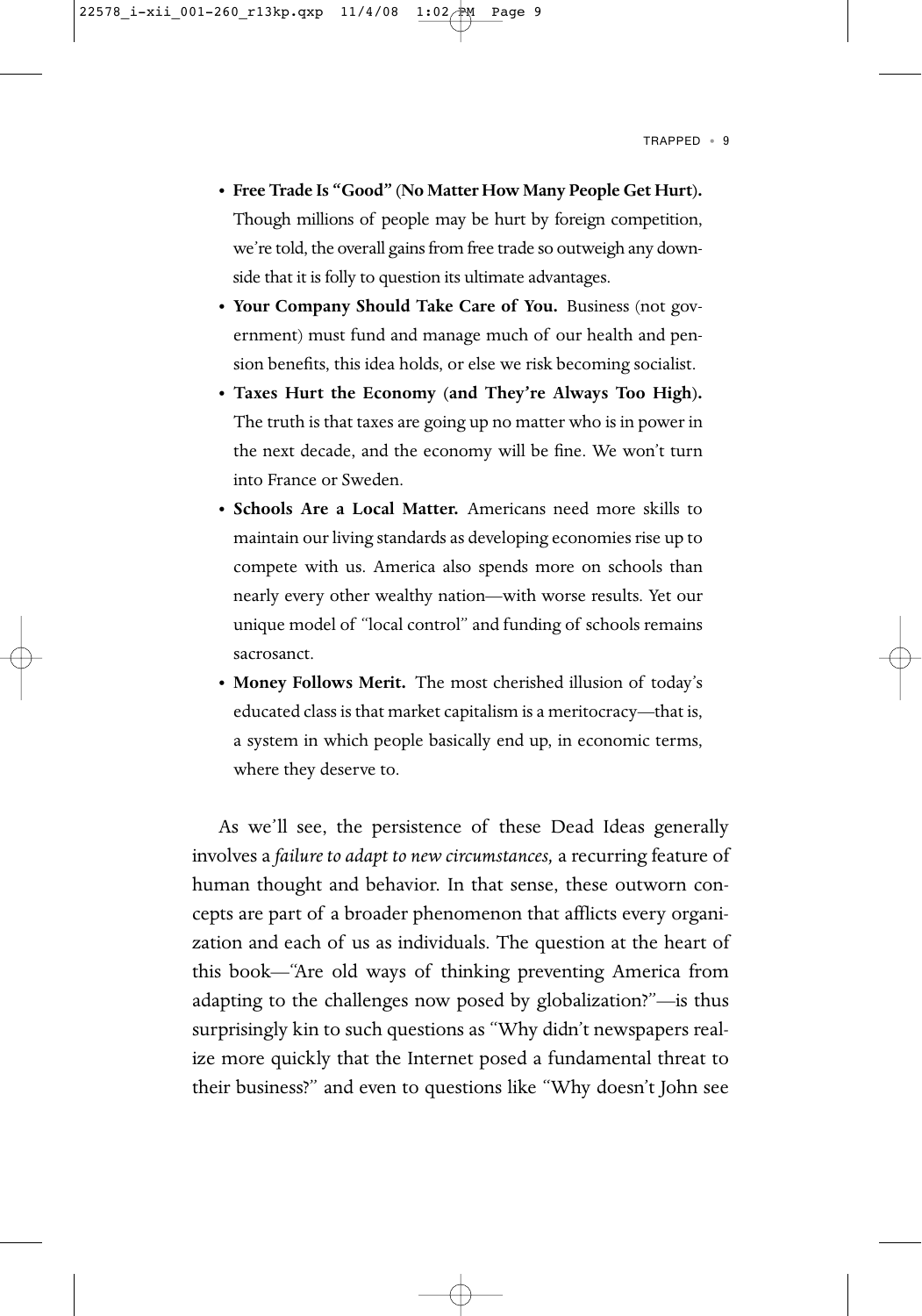- **Free Trade Is "Good" (No Matter How Many People Get Hurt).** Though millions of people may be hurt by foreign competition, we're told, the overall gains from free trade so outweigh any downside that it is folly to question its ultimate advantages.
- **Your Company Should Take Care of You.** Business (not government) must fund and manage much of our health and pension benefits, this idea holds, or else we risk becoming socialist.
- **Taxes Hurt the Economy (and They're Always Too High).** The truth is that taxes are going up no matter who is in power in the next decade, and the economy will be fine. We won't turn into France or Sweden.
- **Schools Are a Local Matter.** Americans need more skills to maintain our living standards as developing economies rise up to compete with us. America also spends more on schools than nearly every other wealthy nation—with worse results. Yet our unique model of "local control" and funding of schools remains sacrosanct.
- **Money Follows Merit.** The most cherished illusion of today's educated class is that market capitalism is a meritocracy—that is, a system in which people basically end up, in economic terms, where they deserve to.

As we'll see, the persistence of these Dead Ideas generally involves a *failure to adapt to new circumstances,* a recurring feature of human thought and behavior. In that sense, these outworn concepts are part of a broader phenomenon that afflicts every organization and each of us as individuals. The question at the heart of this book—"Are old ways of thinking preventing America from adapting to the challenges now posed by globalization?"—is thus surprisingly kin to such questions as "Why didn't newspapers realize more quickly that the Internet posed a fundamental threat to their business?" and even to questions like "Why doesn't John see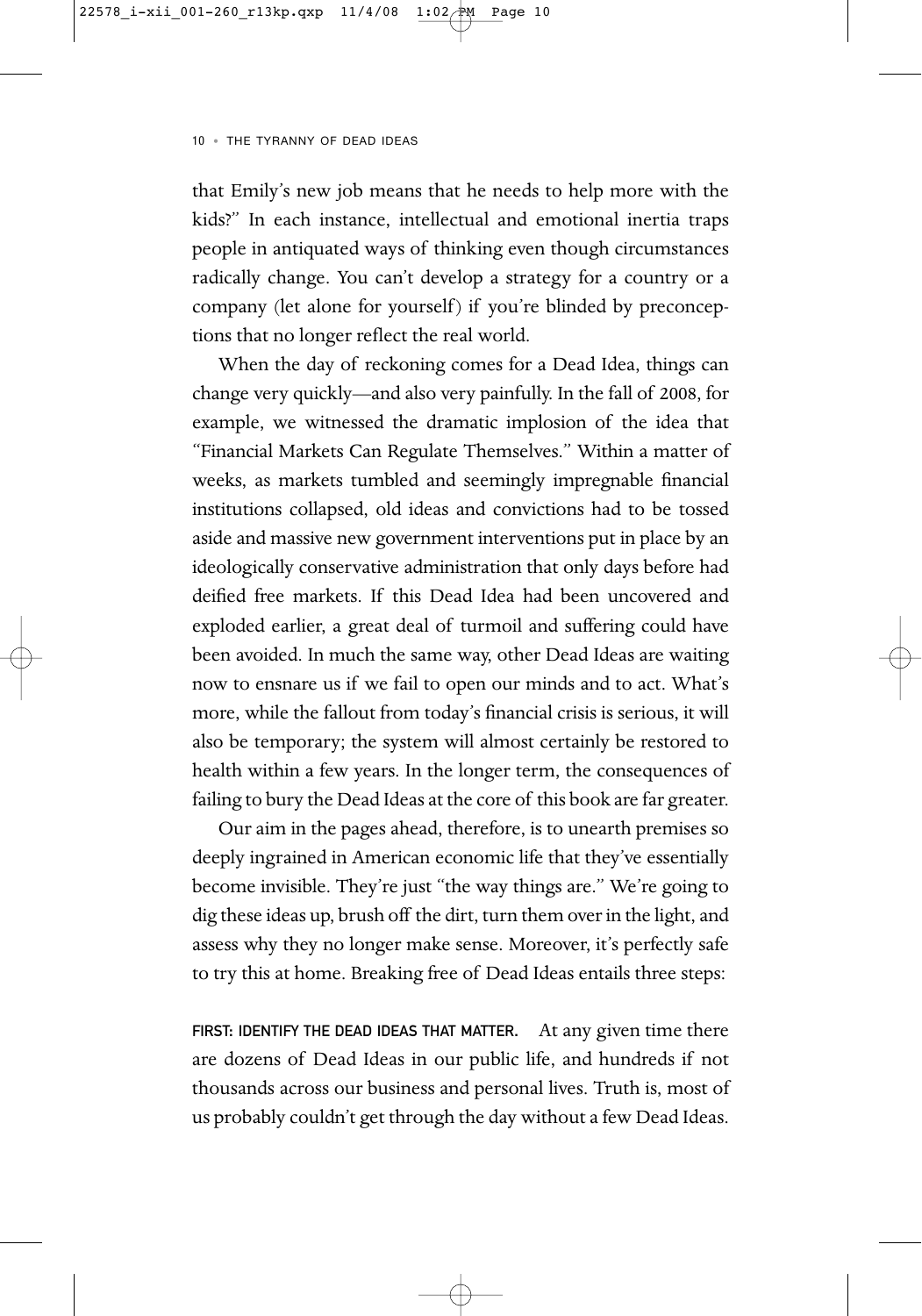that Emily's new job means that he needs to help more with the kids?" In each instance, intellectual and emotional inertia traps people in antiquated ways of thinking even though circumstances radically change. You can't develop a strategy for a country or a company (let alone for yourself) if you're blinded by preconceptions that no longer reflect the real world.

When the day of reckoning comes for a Dead Idea, things can change very quickly—and also very painfully. In the fall of 2008, for example, we witnessed the dramatic implosion of the idea that "Financial Markets Can Regulate Themselves." Within a matter of weeks, as markets tumbled and seemingly impregnable financial institutions collapsed, old ideas and convictions had to be tossed aside and massive new government interventions put in place by an ideologically conservative administration that only days before had deified free markets. If this Dead Idea had been uncovered and exploded earlier, a great deal of turmoil and suffering could have been avoided. In much the same way, other Dead Ideas are waiting now to ensnare us if we fail to open our minds and to act. What's more, while the fallout from today's financial crisis is serious, it will also be temporary; the system will almost certainly be restored to health within a few years. In the longer term, the consequences of failing to bury the Dead Ideas at the core of this book are far greater.

Our aim in the pages ahead, therefore, is to unearth premises so deeply ingrained in American economic life that they've essentially become invisible. They're just "the way things are." We're going to dig these ideas up, brush off the dirt, turn them over in the light, and assess why they no longer make sense. Moreover, it's perfectly safe to try this at home. Breaking free of Dead Ideas entails three steps:

FIRST: IDENTIFY THE DEAD IDEAS THAT MATTER. At any given time there are dozens of Dead Ideas in our public life, and hundreds if not thousands across our business and personal lives. Truth is, most of us probably couldn't get through the day without a few Dead Ideas.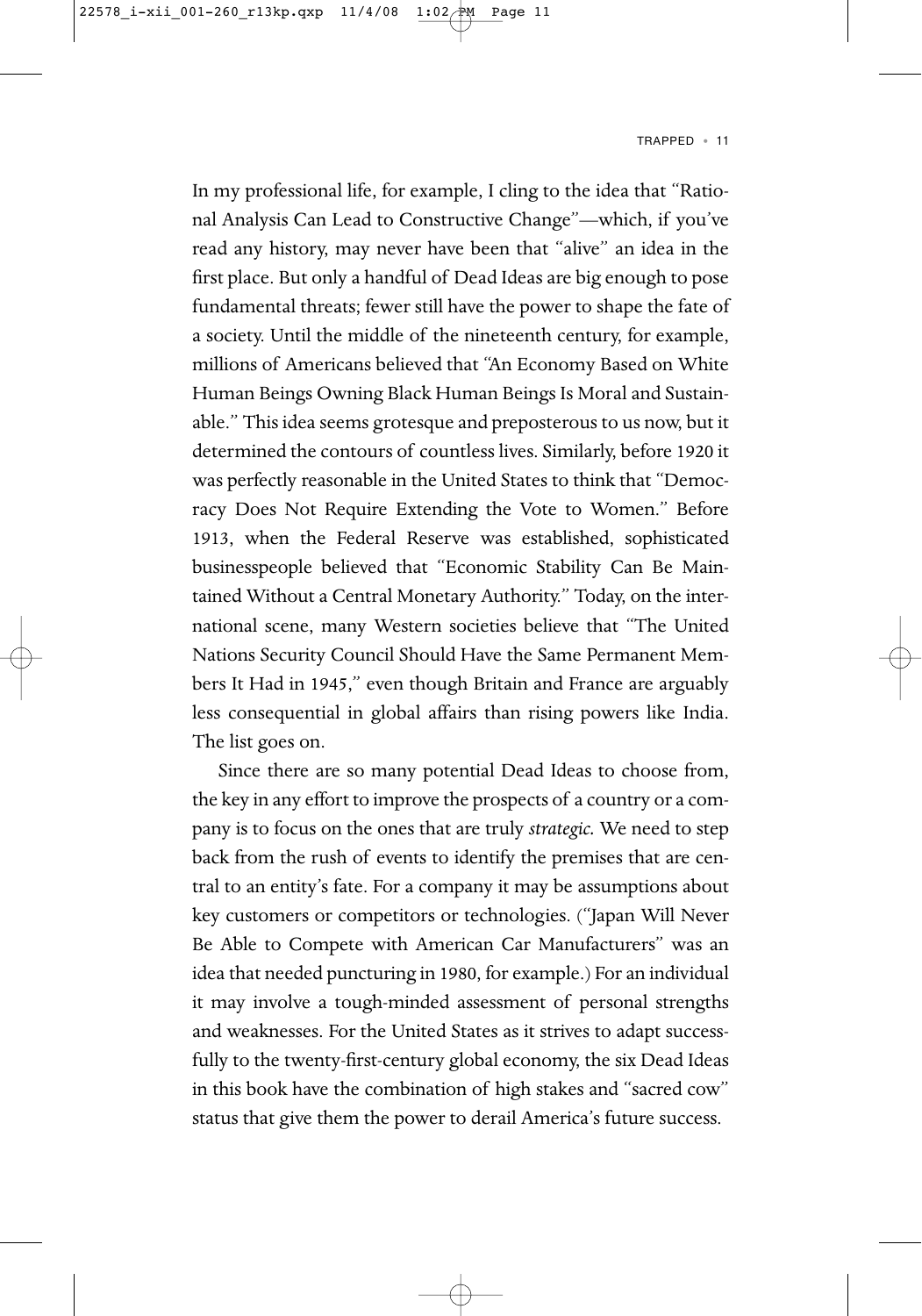In my professional life, for example, I cling to the idea that "Rational Analysis Can Lead to Constructive Change"—which, if you've read any history, may never have been that "alive" an idea in the first place. But only a handful of Dead Ideas are big enough to pose fundamental threats; fewer still have the power to shape the fate of a society. Until the middle of the nineteenth century, for example, millions of Americans believed that "An Economy Based on White Human Beings Owning Black Human Beings Is Moral and Sustainable." This idea seems grotesque and preposterous to us now, but it determined the contours of countless lives. Similarly, before 1920 it was perfectly reasonable in the United States to think that "Democracy Does Not Require Extending the Vote to Women." Before 1913, when the Federal Reserve was established, sophisticated businesspeople believed that "Economic Stability Can Be Maintained Without a Central Monetary Authority." Today, on the international scene, many Western societies believe that "The United Nations Security Council Should Have the Same Permanent Members It Had in 1945," even though Britain and France are arguably less consequential in global affairs than rising powers like India. The list goes on.

Since there are so many potential Dead Ideas to choose from, the key in any effort to improve the prospects of a country or a company is to focus on the ones that are truly *strategic.* We need to step back from the rush of events to identify the premises that are central to an entity's fate. For a company it may be assumptions about key customers or competitors or technologies. ("Japan Will Never Be Able to Compete with American Car Manufacturers" was an idea that needed puncturing in 1980, for example.) For an individual it may involve a tough-minded assessment of personal strengths and weaknesses. For the United States as it strives to adapt successfully to the twenty-first-century global economy, the six Dead Ideas in this book have the combination of high stakes and "sacred cow" status that give them the power to derail America's future success.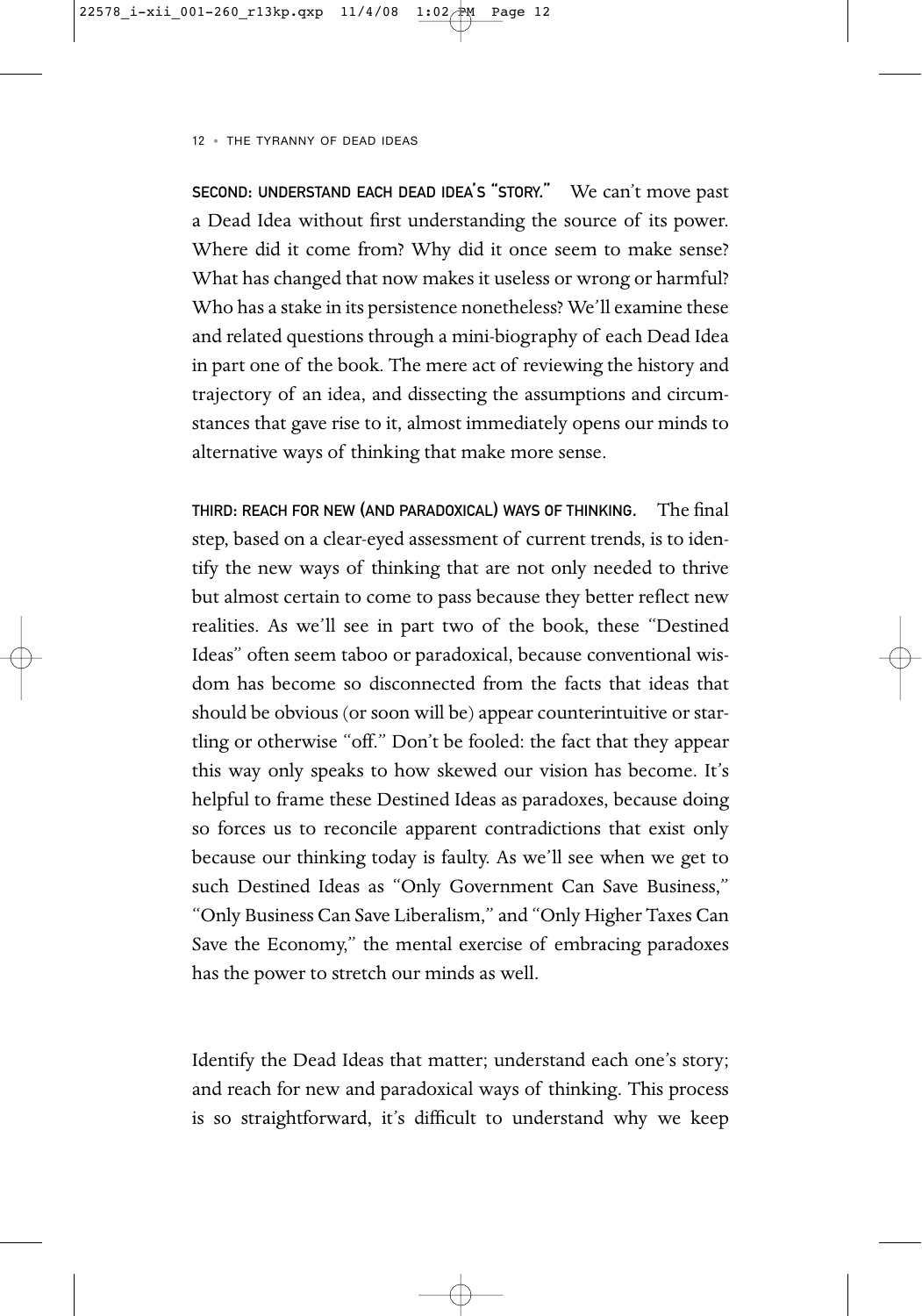SECOND: UNDERSTAND EACH DEAD IDEA'S "STORY." We can't move past a Dead Idea without first understanding the source of its power. Where did it come from? Why did it once seem to make sense? What has changed that now makes it useless or wrong or harmful? Who has a stake in its persistence nonetheless? We'll examine these and related questions through a mini-biography of each Dead Idea in part one of the book. The mere act of reviewing the history and trajectory of an idea, and dissecting the assumptions and circumstances that gave rise to it, almost immediately opens our minds to alternative ways of thinking that make more sense.

THIRD: REACH FOR NEW (AND PARADOXICAL) WAYS OF THINKING. The final step, based on a clear-eyed assessment of current trends, is to identify the new ways of thinking that are not only needed to thrive but almost certain to come to pass because they better reflect new realities. As we'll see in part two of the book, these "Destined Ideas" often seem taboo or paradoxical, because conventional wisdom has become so disconnected from the facts that ideas that should be obvious (or soon will be) appear counterintuitive or startling or otherwise "off." Don't be fooled: the fact that they appear this way only speaks to how skewed our vision has become. It's helpful to frame these Destined Ideas as paradoxes, because doing so forces us to reconcile apparent contradictions that exist only because our thinking today is faulty. As we'll see when we get to such Destined Ideas as "Only Government Can Save Business," "Only Business Can Save Liberalism," and "Only Higher Taxes Can Save the Economy," the mental exercise of embracing paradoxes has the power to stretch our minds as well.

Identify the Dead Ideas that matter; understand each one's story; and reach for new and paradoxical ways of thinking. This process is so straightforward, it's difficult to understand why we keep